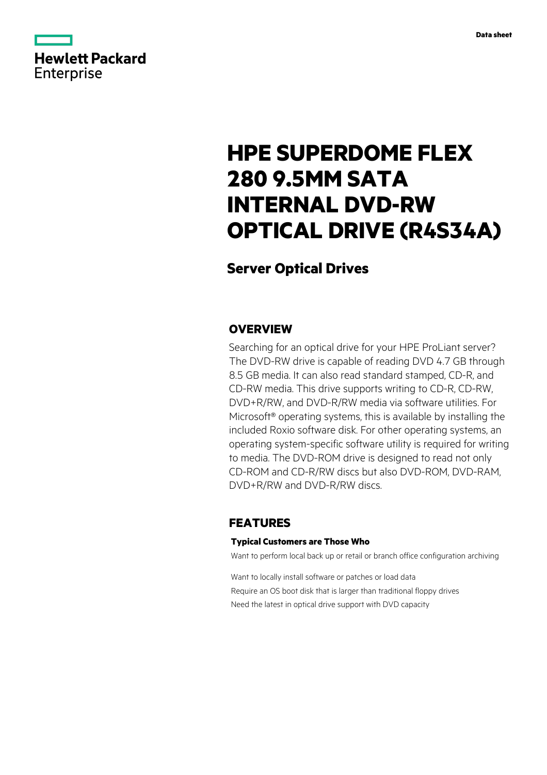

# **HPE SUPERDOME FLEX 280 9.5MM SATA INTERNAL DVD-RW OPTICAL DRIVE (R4S34A)**

# **Server Optical Drives**

## **OVERVIEW**

Searching for an optical drive for your HPE ProLiant server? The DVD-RW drive is capable of reading DVD 4.7 GB through 8.5 GB media. It can also read standard stamped, CD-R, and CD-RW media. This drive supports writing to CD-R, CD-RW, DVD+R/RW, and DVD-R/RW media via software utilities. For Microsoft® operating systems, this is available by installing the included Roxio software disk. For other operating systems, an operating system-specific software utility is required for writing to media. The DVD-ROM drive is designed to read not only CD-ROM and CD-R/RW discs but also DVD-ROM, DVD-RAM, DVD+R/RW and DVD-R/RW discs.

## **FEATURES**

#### **Typical Customers are Those Who**

Want to perform local back up or retail or branch office configuration archiving

Want to locally install software or patches or load data Require an OS boot disk that is larger than traditional floppy drives Need the latest in optical drive support with DVD capacity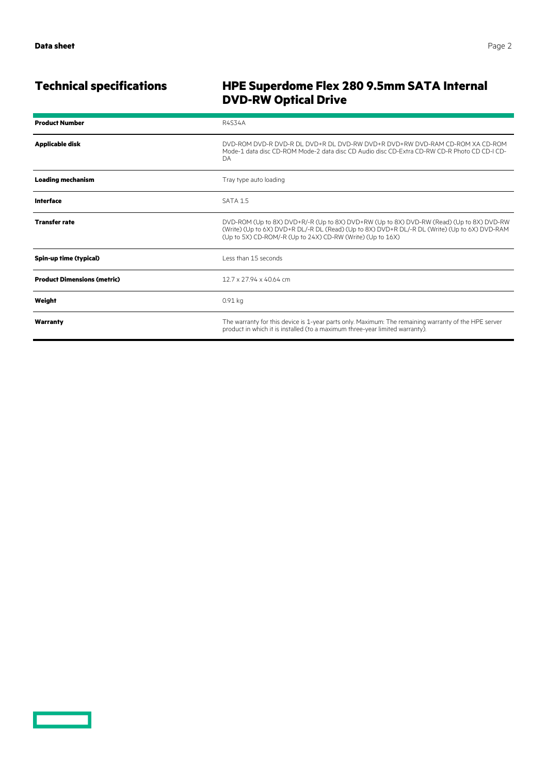# **Technical specifications HPE Superdome Flex 280 9.5mm SATA Internal DVD-RW Optical Drive**

| <b>Product Number</b>              | R4S34A                                                                                                                                                                                                                                                  |
|------------------------------------|---------------------------------------------------------------------------------------------------------------------------------------------------------------------------------------------------------------------------------------------------------|
| <b>Applicable disk</b>             | DVD-ROM DVD-R DVD-R DL DVD+R DL DVD-RW DVD+R DVD+RW DVD-RAM CD-ROM XA CD-ROM<br>Mode-1 data disc CD-ROM Mode-2 data disc CD Audio disc CD-Extra CD-RW CD-R Photo CD CD-LCD-<br>DA.                                                                      |
| <b>Loading mechanism</b>           | Tray type auto loading                                                                                                                                                                                                                                  |
| <b>Interface</b>                   | SATA 1.5                                                                                                                                                                                                                                                |
| <b>Transfer rate</b>               | DVD-ROM (Up to 8X) DVD+R/-R (Up to 8X) DVD+RW (Up to 8X) DVD-RW (Read) (Up to 8X) DVD-RW<br>(Write) (Up to 6X) DVD+R DL/-R DL (Read) (Up to 8X) DVD+R DL/-R DL (Write) (Up to 6X) DVD-RAM<br>(Up to 5X) CD-ROM/-R (Up to 24X) CD-RW (Write) (Up to 16X) |
| Spin-up time (typical)             | Less than 15 seconds                                                                                                                                                                                                                                    |
| <b>Product Dimensions (metric)</b> | 12.7 x 27.94 x 40.64 cm                                                                                                                                                                                                                                 |
| Weight                             | 0.91 kg                                                                                                                                                                                                                                                 |
| Warranty                           | The warranty for this device is 1-year parts only. Maximum: The remaining warranty of the HPE server<br>product in which it is installed (to a maximum three-year limited warranty).                                                                    |